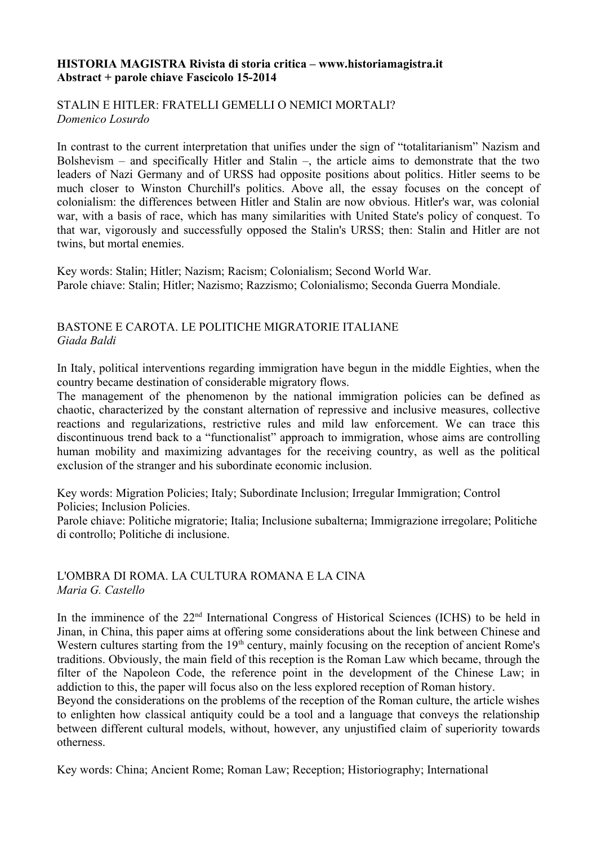#### **HISTORIA MAGISTRA Rivista di storia critica – www.historiamagistra.it Abstract + parole chiave Fascicolo 15-2014**

#### STALIN E HITLER: FRATELLI GEMELLI O NEMICI MORTALI? *Domenico Losurdo*

In contrast to the current interpretation that unifies under the sign of "totalitarianism" Nazism and Bolshevism – and specifically Hitler and Stalin –, the article aims to demonstrate that the two leaders of Nazi Germany and of URSS had opposite positions about politics. Hitler seems to be much closer to Winston Churchill's politics. Above all, the essay focuses on the concept of colonialism: the differences between Hitler and Stalin are now obvious. Hitler's war, was colonial war, with a basis of race, which has many similarities with United State's policy of conquest. To that war, vigorously and successfully opposed the Stalin's URSS; then: Stalin and Hitler are not twins, but mortal enemies.

Key words: Stalin; Hitler; Nazism; Racism; Colonialism; Second World War. Parole chiave: Stalin; Hitler; Nazismo; Razzismo; Colonialismo; Seconda Guerra Mondiale.

## BASTONE E CAROTA. LE POLITICHE MIGRATORIE ITALIANE *Giada Baldi*

In Italy, political interventions regarding immigration have begun in the middle Eighties, when the country became destination of considerable migratory flows.

The management of the phenomenon by the national immigration policies can be defined as chaotic, characterized by the constant alternation of repressive and inclusive measures, collective reactions and regularizations, restrictive rules and mild law enforcement. We can trace this discontinuous trend back to a "functionalist" approach to immigration, whose aims are controlling human mobility and maximizing advantages for the receiving country, as well as the political exclusion of the stranger and his subordinate economic inclusion.

Key words: Migration Policies; Italy; Subordinate Inclusion; Irregular Immigration; Control Policies; Inclusion Policies.

Parole chiave: Politiche migratorie; Italia; Inclusione subalterna; Immigrazione irregolare; Politiche di controllo; Politiche di inclusione.

## L'OMBRA DI ROMA. LA CULTURA ROMANA E LA CINA *Maria G. Castello*

In the imminence of the 22nd International Congress of Historical Sciences (ICHS) to be held in Jinan, in China, this paper aims at offering some considerations about the link between Chinese and Western cultures starting from the 19<sup>th</sup> century, mainly focusing on the reception of ancient Rome's traditions. Obviously, the main field of this reception is the Roman Law which became, through the filter of the Napoleon Code, the reference point in the development of the Chinese Law; in addiction to this, the paper will focus also on the less explored reception of Roman history.

Beyond the considerations on the problems of the reception of the Roman culture, the article wishes to enlighten how classical antiquity could be a tool and a language that conveys the relationship between different cultural models, without, however, any unjustified claim of superiority towards otherness.

Key words: China; Ancient Rome; Roman Law; Reception; Historiography; International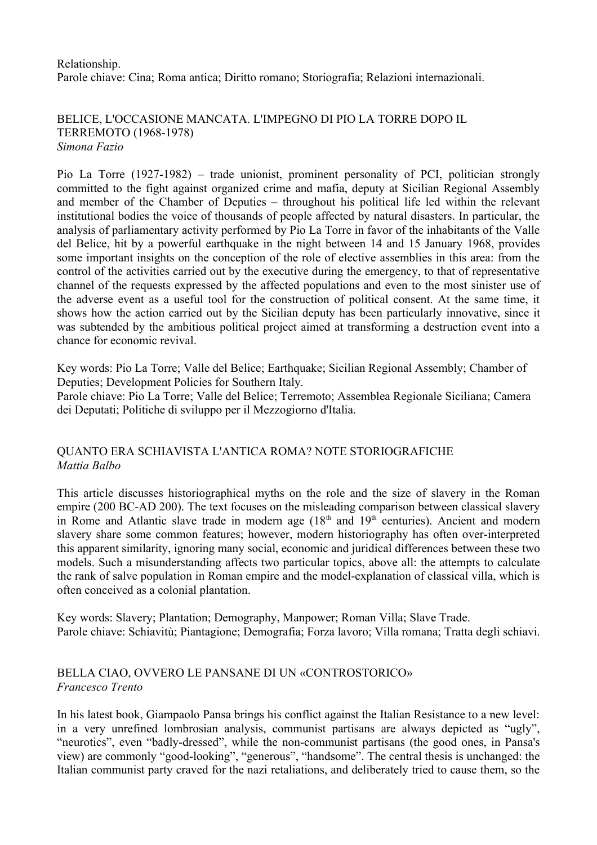Relationship. Parole chiave: Cina; Roma antica; Diritto romano; Storiografia; Relazioni internazionali.

BELICE, L'OCCASIONE MANCATA. L'IMPEGNO DI PIO LA TORRE DOPO IL TERREMOTO (1968-1978) *Simona Fazio*

Pio La Torre (1927-1982) – trade unionist, prominent personality of PCI, politician strongly committed to the fight against organized crime and mafia, deputy at Sicilian Regional Assembly and member of the Chamber of Deputies – throughout his political life led within the relevant institutional bodies the voice of thousands of people affected by natural disasters. In particular, the analysis of parliamentary activity performed by Pio La Torre in favor of the inhabitants of the Valle del Belice, hit by a powerful earthquake in the night between 14 and 15 January 1968, provides some important insights on the conception of the role of elective assemblies in this area: from the control of the activities carried out by the executive during the emergency, to that of representative channel of the requests expressed by the affected populations and even to the most sinister use of the adverse event as a useful tool for the construction of political consent. At the same time, it shows how the action carried out by the Sicilian deputy has been particularly innovative, since it was subtended by the ambitious political project aimed at transforming a destruction event into a chance for economic revival.

Key words: Pio La Torre; Valle del Belice; Earthquake; Sicilian Regional Assembly; Chamber of Deputies; Development Policies for Southern Italy.

Parole chiave: Pio La Torre; Valle del Belice; Terremoto; Assemblea Regionale Siciliana; Camera dei Deputati; Politiche di sviluppo per il Mezzogiorno d'Italia.

# QUANTO ERA SCHIAVISTA L'ANTICA ROMA? NOTE STORIOGRAFICHE *Mattia Balbo*

This article discusses historiographical myths on the role and the size of slavery in the Roman empire (200 BC-AD 200). The text focuses on the misleading comparison between classical slavery in Rome and Atlantic slave trade in modern age  $(18<sup>th</sup>$  and  $19<sup>th</sup>$  centuries). Ancient and modern slavery share some common features; however, modern historiography has often over-interpreted this apparent similarity, ignoring many social, economic and juridical differences between these two models. Such a misunderstanding affects two particular topics, above all: the attempts to calculate the rank of salve population in Roman empire and the model-explanation of classical villa, which is often conceived as a colonial plantation.

Key words: Slavery; Plantation; Demography, Manpower; Roman Villa; Slave Trade. Parole chiave: Schiavitù; Piantagione; Demografia; Forza lavoro; Villa romana; Tratta degli schiavi.

## BELLA CIAO, OVVERO LE PANSANE DI UN «CONTROSTORICO» *Francesco Trento*

In his latest book, Giampaolo Pansa brings his conflict against the Italian Resistance to a new level: in a very unrefined lombrosian analysis, communist partisans are always depicted as "ugly", "neurotics", even "badly-dressed", while the non-communist partisans (the good ones, in Pansa's view) are commonly "good-looking", "generous", "handsome". The central thesis is unchanged: the Italian communist party craved for the nazi retaliations, and deliberately tried to cause them, so the